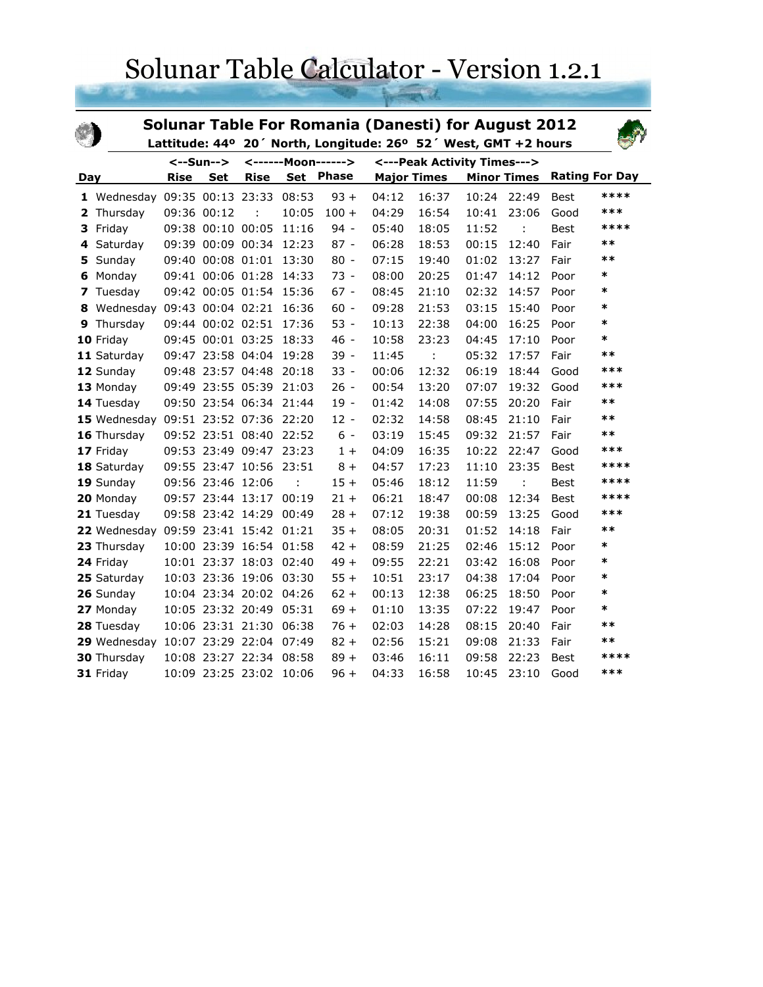## Solunar Table Calculator - Version 1.2.1

| Solunar Table For Romania (Danesti) for August 2012<br>Lattitude: 44° 20' North, Longitude: 26° 52' West, GMT +2 hours |                                   |             |                   |                         |       |                    |                    |                             |       |                    |             |                       |
|------------------------------------------------------------------------------------------------------------------------|-----------------------------------|-------------|-------------------|-------------------------|-------|--------------------|--------------------|-----------------------------|-------|--------------------|-------------|-----------------------|
| <--Sun-->                                                                                                              |                                   |             |                   |                         |       | <------Moon------> |                    | <---Peak Activity Times---> |       |                    |             |                       |
| Day                                                                                                                    |                                   | <b>Rise</b> | <b>Set</b>        | <b>Rise</b>             | Set   | <b>Phase</b>       | <b>Major Times</b> |                             |       | <b>Minor Times</b> |             | <b>Rating For Day</b> |
|                                                                                                                        | 1 Wednesday 09:35 00:13 23:33     |             |                   |                         | 08:53 | $93 +$             | 04:12              | 16:37                       | 10:24 | 22:49              | Best        | ****                  |
|                                                                                                                        | 2 Thursday                        |             | 09:36 00:12       |                         | 10:05 | $100 +$            | 04:29              | 16:54                       | 10:41 | 23:06              | Good        | ***                   |
| 3                                                                                                                      | Friday                            |             | 09:38 00:10 00:05 |                         | 11:16 | $94 -$             | 05:40              | 18:05                       | 11:52 |                    | <b>Best</b> | ****                  |
| 4                                                                                                                      | Saturday                          |             |                   | 09:39 00:09 00:34 12:23 |       | $87 -$             | 06:28              | 18:53                       | 00:15 | 12:40              | Fair        | $***$                 |
| 5                                                                                                                      | Sunday                            |             |                   | 09:40 00:08 01:01 13:30 |       | $80 -$             | 07:15              | 19:40                       | 01:02 | 13:27              | Fair        | $**$                  |
| 6                                                                                                                      | Monday                            |             |                   | 09:41 00:06 01:28       | 14:33 | $73 -$             | 08:00              | 20:25                       | 01:47 | 14:12              | Poor        | *                     |
|                                                                                                                        | 7 Tuesday                         |             |                   | 09:42 00:05 01:54 15:36 |       | $67 -$             | 08:45              | 21:10                       | 02:32 | 14:57              | Poor        | *                     |
| 8                                                                                                                      | Wednesday 09:43 00:04 02:21 16:36 |             |                   |                         |       | $60 -$             | 09:28              | 21:53                       | 03:15 | 15:40              | Poor        | $\ast$                |
| 9                                                                                                                      | Thursday                          |             |                   | 09:44 00:02 02:51 17:36 |       | $53 -$             | 10:13              | 22:38                       | 04:00 | 16:25              | Poor        | *                     |
|                                                                                                                        | 10 Friday                         |             |                   | 09:45 00:01 03:25       | 18:33 | $46 -$             | 10:58              | 23:23                       | 04:45 | 17:10              | Poor        | $\ast$                |
|                                                                                                                        | 11 Saturday                       |             |                   | 09:47 23:58 04:04       | 19:28 | $39 -$             | 11:45              | ÷                           | 05:32 | 17:57              | Fair        | $***$                 |
|                                                                                                                        | 12 Sunday                         |             |                   | 09:48 23:57 04:48       | 20:18 | $33 -$             | 00:06              | 12:32                       | 06:19 | 18:44              | Good        | ***                   |
|                                                                                                                        | 13 Monday                         |             |                   | 09:49 23:55 05:39       | 21:03 | $26 -$             | 00:54              | 13:20                       | 07:07 | 19:32              | Good        | ***                   |
|                                                                                                                        | 14 Tuesday                        |             |                   | 09:50 23:54 06:34 21:44 |       | 19 -               | 01:42              | 14:08                       | 07:55 | 20:20              | Fair        | $***$                 |
|                                                                                                                        | 15 Wednesday                      |             |                   | 09:51 23:52 07:36 22:20 |       | $12 -$             | 02:32              | 14:58                       | 08:45 | 21:10              | Fair        | $***$                 |
|                                                                                                                        | 16 Thursday                       |             |                   | 09:52 23:51 08:40 22:52 |       | $6 -$              | 03:19              | 15:45                       | 09:32 | 21:57              | Fair        | $***$                 |
|                                                                                                                        | 17 Friday                         |             |                   | 09:53 23:49 09:47 23:23 |       | $1+$               | 04:09              | 16:35                       | 10:22 | 22:47              | Good        | ***                   |
|                                                                                                                        | 18 Saturday                       |             |                   | 09:55 23:47 10:56       | 23:51 | $8+$               | 04:57              | 17:23                       | 11:10 | 23:35              | Best        | ****                  |
|                                                                                                                        | 19 Sunday                         |             | 09:56 23:46 12:06 |                         | ÷     | $15 +$             | 05:46              | 18:12                       | 11:59 | ÷                  | Best        | ****                  |
|                                                                                                                        | 20 Monday                         |             |                   | 09:57 23:44 13:17       | 00:19 | $21 +$             | 06:21              | 18:47                       | 00:08 | 12:34              | Best        | ****                  |
|                                                                                                                        | 21 Tuesday                        |             | 09:58 23:42 14:29 |                         | 00:49 | $28 +$             | 07:12              | 19:38                       | 00:59 | 13:25              | Good        | ***                   |
|                                                                                                                        | 22 Wednesday                      |             |                   | 09:59 23:41 15:42 01:21 |       | $35 +$             | 08:05              | 20:31                       | 01:52 | 14:18              | Fair        | $***$                 |
|                                                                                                                        | 23 Thursday                       |             |                   | 10:00 23:39 16:54       | 01:58 | $42 +$             | 08:59              | 21:25                       | 02:46 | 15:12              | Poor        | $\ast$                |
|                                                                                                                        | 24 Friday                         |             |                   | 10:01 23:37 18:03 02:40 |       | $49 +$             | 09:55              | 22:21                       | 03:42 | 16:08              | Poor        | $\ast$                |
|                                                                                                                        | 25 Saturday                       |             |                   | 10:03 23:36 19:06 03:30 |       | $55 +$             | 10:51              | 23:17                       | 04:38 | 17:04              | Poor        | *                     |
|                                                                                                                        | 26 Sunday                         |             |                   | 10:04 23:34 20:02 04:26 |       | $62 +$             | 00:13              | 12:38                       | 06:25 | 18:50              | Poor        | $\ast$                |
|                                                                                                                        | 27 Monday                         |             |                   | 10:05 23:32 20:49 05:31 |       | $69 +$             | 01:10              | 13:35                       | 07:22 | 19:47              | Poor        | *                     |
|                                                                                                                        | 28 Tuesday                        |             |                   | 10:06 23:31 21:30 06:38 |       | $76+$              | 02:03              | 14:28                       | 08:15 | 20:40              | Fair        | $***$                 |
|                                                                                                                        | 29 Wednesday                      |             |                   | 10:07 23:29 22:04 07:49 |       | $82 +$             | 02:56              | 15:21                       | 09:08 | 21:33              | Fair        | $***$                 |
|                                                                                                                        | <b>30 Thursday</b>                |             |                   | 10:08 23:27 22:34 08:58 |       | $89 +$             | 03:46              | 16:11                       | 09:58 | 22:23              | <b>Best</b> | ****                  |
|                                                                                                                        | 31 Friday                         |             |                   | 10:09 23:25 23:02 10:06 |       | $96 +$             | 04:33              | 16:58                       | 10:45 | 23:10              | Good        | ***                   |